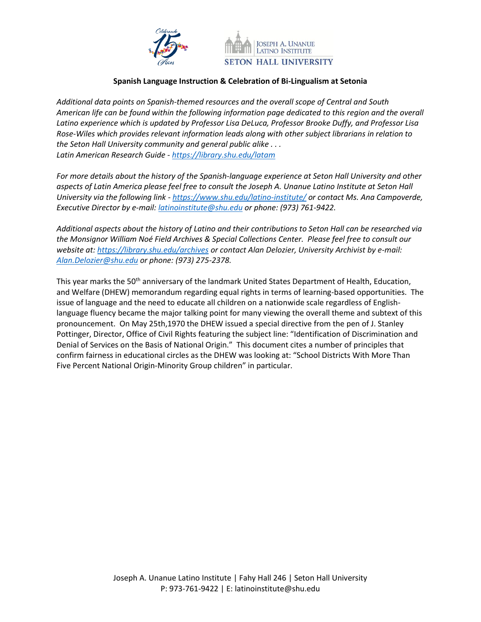



## **Spanish Language Instruction & Celebration of Bi-Lingualism at Setonia**

*Additional data points on Spanish-themed resources and the overall scope of Central and South American life can be found within the following information page dedicated to this region and the overall Latino experience which is updated by Professor Lisa DeLuca, Professor Brooke Duffy, and Professor Lisa Rose-Wiles which provides relevant information leads along with other subject librarians in relation to the Seton Hall University community and general public alike . . . Latin American Research Guide - <https://library.shu.edu/latam>*

*For more details about the history of the Spanish-language experience at Seton Hall University and other aspects of Latin America please feel free to consult the Joseph A. Unanue Latino Institute at Seton Hall University via the following link - <https://www.shu.edu/latino-institute/> or contact Ms. Ana Campoverde, Executive Director by e-mail[: latinoinstitute@shu.edu](mailto:latinoinstitute@shu.edu) or phone: (973) 761-9422.* 

*Additional aspects about the history of Latino and their contributions to Seton Hall can be researched via the Monsignor William Noé Field Archives & Special Collections Center. Please feel free to consult our website at:<https://library.shu.edu/archives> or contact Alan Delozier, University Archivist by e-mail: [Alan.Delozier@shu.edu](mailto:Alan.Delozier@shu.edu) or phone: (973) 275-2378.*

This year marks the 50<sup>th</sup> anniversary of the landmark United States Department of Health, Education, and Welfare (DHEW) memorandum regarding equal rights in terms of learning-based opportunities. The issue of language and the need to educate all children on a nationwide scale regardless of Englishlanguage fluency became the major talking point for many viewing the overall theme and subtext of this pronouncement. On May 25th,1970 the DHEW issued a special directive from the pen of J. Stanley Pottinger, Director, Office of Civil Rights featuring the subject line: "Identification of Discrimination and Denial of Services on the Basis of National Origin." This document cites a number of principles that confirm fairness in educational circles as the DHEW was looking at: "School Districts With More Than Five Percent National Origin-Minority Group children" in particular.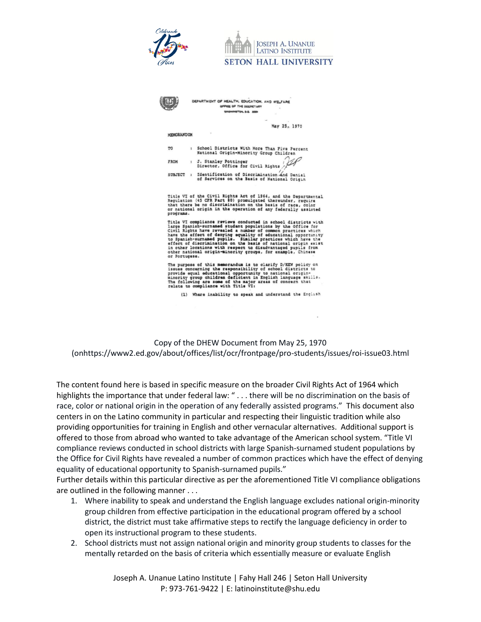

Copy of the DHEW Document from May 25, 1970 (onhttps://www2.ed.gov/about/offices/list/ocr/frontpage/pro-students/issues/roi-issue03.html

The content found here is based in specific measure on the broader Civil Rights Act of 1964 which highlights the importance that under federal law: " . . . there will be no discrimination on the basis of race, color or national origin in the operation of any federally assisted programs." This document also centers in on the Latino community in particular and respecting their linguistic tradition while also providing opportunities for training in English and other vernacular alternatives. Additional support is offered to those from abroad who wanted to take advantage of the American school system. "Title VI compliance reviews conducted in school districts with large Spanish-surnamed student populations by the Office for Civil Rights have revealed a number of common practices which have the effect of denying equality of educational opportunity to Spanish-surnamed pupils."

Further details within this particular directive as per the aforementioned Title VI compliance obligations are outlined in the following manner . . .

- 1. Where inability to speak and understand the English language excludes national origin-minority group children from effective participation in the educational program offered by a school district, the district must take affirmative steps to rectify the language deficiency in order to open its instructional program to these students.
- 2. School districts must not assign national origin and minority group students to classes for the mentally retarded on the basis of criteria which essentially measure or evaluate English

Joseph A. Unanue Latino Institute | Fahy Hall 246 | Seton Hall University P: 973-761-9422 | E: latinoinstitute@shu.edu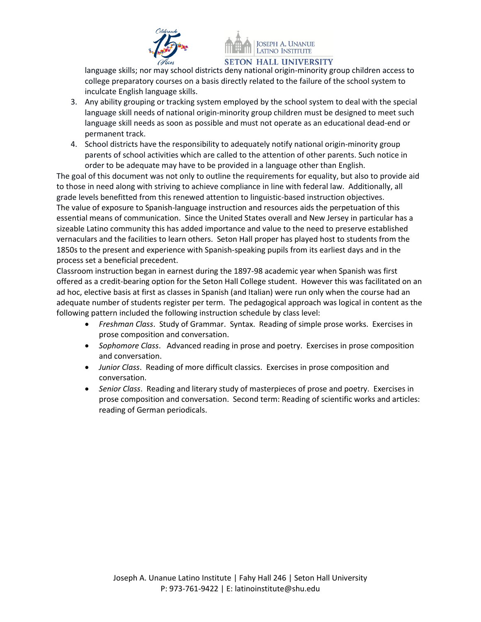



language skills; nor may school districts deny national origin-minority group children access to college preparatory courses on a basis directly related to the failure of the school system to inculcate English language skills.

- 3. Any ability grouping or tracking system employed by the school system to deal with the special language skill needs of national origin-minority group children must be designed to meet such language skill needs as soon as possible and must not operate as an educational dead-end or permanent track.
- 4. School districts have the responsibility to adequately notify national origin-minority group parents of school activities which are called to the attention of other parents. Such notice in order to be adequate may have to be provided in a language other than English.

The goal of this document was not only to outline the requirements for equality, but also to provide aid to those in need along with striving to achieve compliance in line with federal law. Additionally, all grade levels benefitted from this renewed attention to linguistic-based instruction objectives. The value of exposure to Spanish-language instruction and resources aids the perpetuation of this essential means of communication. Since the United States overall and New Jersey in particular has a sizeable Latino community this has added importance and value to the need to preserve established vernaculars and the facilities to learn others. Seton Hall proper has played host to students from the 1850s to the present and experience with Spanish-speaking pupils from its earliest days and in the process set a beneficial precedent.

Classroom instruction began in earnest during the 1897-98 academic year when Spanish was first offered as a credit-bearing option for the Seton Hall College student. However this was facilitated on an ad hoc, elective basis at first as classes in Spanish (and Italian) were run only when the course had an adequate number of students register per term. The pedagogical approach was logical in content as the following pattern included the following instruction schedule by class level:

- *Freshman Class*. Study of Grammar. Syntax. Reading of simple prose works. Exercises in prose composition and conversation.
- *Sophomore Class*. Advanced reading in prose and poetry. Exercises in prose composition and conversation.
- *Junior Class*. Reading of more difficult classics. Exercises in prose composition and conversation.
- *Senior Class*. Reading and literary study of masterpieces of prose and poetry. Exercises in prose composition and conversation. Second term: Reading of scientific works and articles: reading of German periodicals.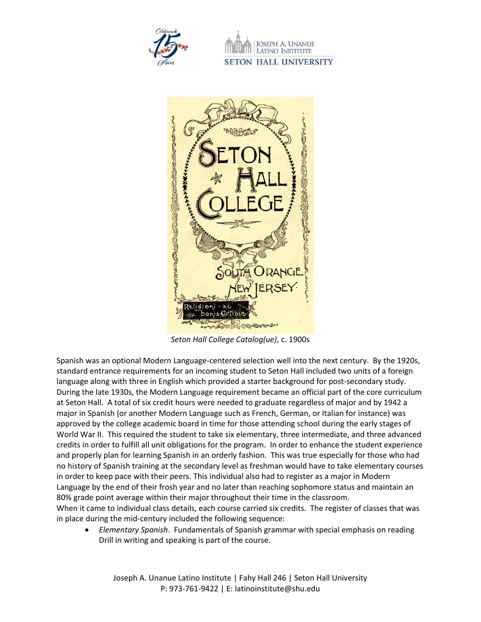

**JOSEPH A. UNANUE** LATINO INSTITUTE **SETON HALL UNIVERSITY** 



*Seton Hall College Catalog(ue)*, c. 1900s

Spanish was an optional Modern Language-centered selection well into the next century. By the 1920s, standard entrance requirements for an incoming student to Seton Hall included two units of a foreign language along with three in English which provided a starter background for post-secondary study. During the late 1930s, the Modern Language requirement became an official part of the core curriculum at Seton Hall. A total of six credit hours were needed to graduate regardless of major and by 1942 a major in Spanish (or another Modern Language such as French, German, or Italian for instance) was approved by the college academic board in time for those attending school during the early stages of World War II. This required the student to take six elementary, three intermediate, and three advanced credits in order to fulfill all unit obligations for the program. In order to enhance the student experience and properly plan for learning Spanish in an orderly fashion. This was true especially for those who had no history of Spanish training at the secondary level as freshman would have to take elementary courses in order to keep pace with their peers. This individual also had to register as a major in Modern Language by the end of their frosh year and no later than reaching sophomore status and maintain an 80% grade point average within their major throughout their time in the classroom.

When it came to individual class details, each course carried six credits. The register of classes that was in place during the mid-century included the following sequence:

• *Elementary Spanish*. Fundamentals of Spanish grammar with special emphasis on reading Drill in writing and speaking is part of the course.

Joseph A. Unanue Latino Institute | Fahy Hall 246 | Seton Hall University P: 973-761-9422 | E: latinoinstitute@shu.edu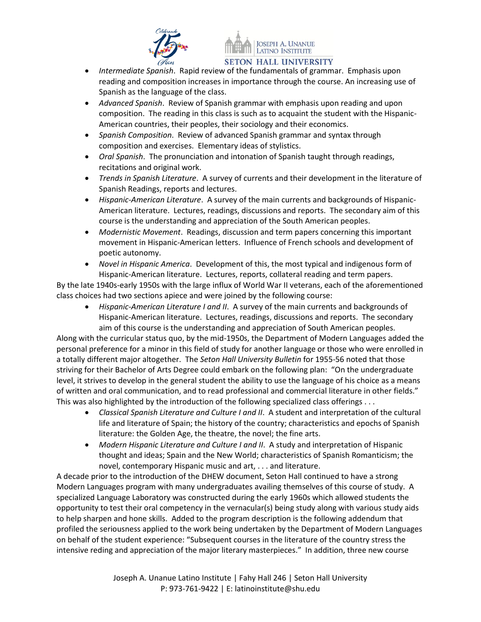



- *Intermediate Spanish*. Rapid review of the fundamentals of grammar. Emphasis upon reading and composition increases in importance through the course. An increasing use of Spanish as the language of the class.
- *Advanced Spanish*. Review of Spanish grammar with emphasis upon reading and upon composition. The reading in this class is such as to acquaint the student with the Hispanic-American countries, their peoples, their sociology and their economics.
- *Spanish Composition*. Review of advanced Spanish grammar and syntax through composition and exercises. Elementary ideas of stylistics.
- *Oral Spanish*. The pronunciation and intonation of Spanish taught through readings, recitations and original work.
- *Trends in Spanish Literature*. A survey of currents and their development in the literature of Spanish Readings, reports and lectures.
- *Hispanic-American Literature*. A survey of the main currents and backgrounds of Hispanic-American literature. Lectures, readings, discussions and reports. The secondary aim of this course is the understanding and appreciation of the South American peoples.
- *Modernistic Movement*. Readings, discussion and term papers concerning this important movement in Hispanic-American letters. Influence of French schools and development of poetic autonomy.
- *Novel in Hispanic America*. Development of this, the most typical and indigenous form of Hispanic-American literature. Lectures, reports, collateral reading and term papers.

By the late 1940s-early 1950s with the large influx of World War II veterans, each of the aforementioned class choices had two sections apiece and were joined by the following course:

• *Hispanic-American Literature I and II*. A survey of the main currents and backgrounds of Hispanic-American literature. Lectures, readings, discussions and reports. The secondary aim of this course is the understanding and appreciation of South American peoples.

Along with the curricular status quo, by the mid-1950s, the Department of Modern Languages added the personal preference for a minor in this field of study for another language or those who were enrolled in a totally different major altogether. The *Seton Hall University Bulletin* for 1955-56 noted that those striving for their Bachelor of Arts Degree could embark on the following plan: "On the undergraduate level, it strives to develop in the general student the ability to use the language of his choice as a means of written and oral communication, and to read professional and commercial literature in other fields." This was also highlighted by the introduction of the following specialized class offerings . . .

- *Classical Spanish Literature and Culture I and II*. A student and interpretation of the cultural life and literature of Spain; the history of the country; characteristics and epochs of Spanish literature: the Golden Age, the theatre, the novel; the fine arts.
- *Modern Hispanic Literature and Culture I and II*. A study and interpretation of Hispanic thought and ideas; Spain and the New World; characteristics of Spanish Romanticism; the novel, contemporary Hispanic music and art, . . . and literature.

A decade prior to the introduction of the DHEW document, Seton Hall continued to have a strong Modern Languages program with many undergraduates availing themselves of this course of study. A specialized Language Laboratory was constructed during the early 1960s which allowed students the opportunity to test their oral competency in the vernacular(s) being study along with various study aids to help sharpen and hone skills. Added to the program description is the following addendum that profiled the seriousness applied to the work being undertaken by the Department of Modern Languages on behalf of the student experience: "Subsequent courses in the literature of the country stress the intensive reding and appreciation of the major literary masterpieces." In addition, three new course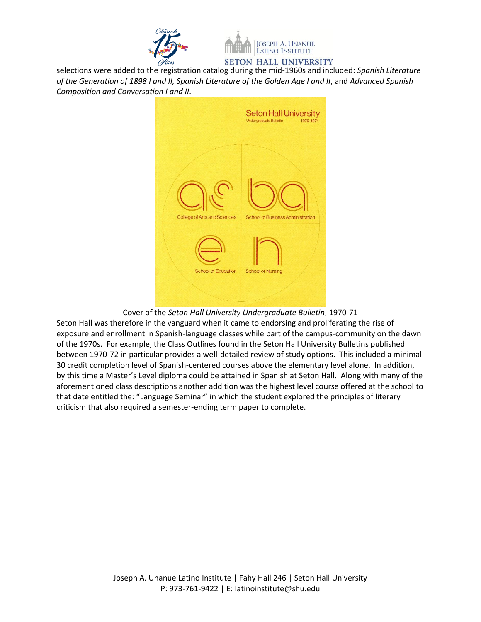



selections were added to the registration catalog during the mid-1960s and included: *Spanish Literature of the Generation of 1898 I and II, Spanish Literature of the Golden Age I and II*, and *Advanced Spanish Composition and Conversation I and II*.



## Cover of the *Seton Hall University Undergraduate Bulletin*, 1970-71

Seton Hall was therefore in the vanguard when it came to endorsing and proliferating the rise of exposure and enrollment in Spanish-language classes while part of the campus-community on the dawn of the 1970s. For example, the Class Outlines found in the Seton Hall University Bulletins published between 1970-72 in particular provides a well-detailed review of study options. This included a minimal 30 credit completion level of Spanish-centered courses above the elementary level alone. In addition, by this time a Master's Level diploma could be attained in Spanish at Seton Hall. Along with many of the aforementioned class descriptions another addition was the highest level course offered at the school to that date entitled the: "Language Seminar" in which the student explored the principles of literary criticism that also required a semester-ending term paper to complete.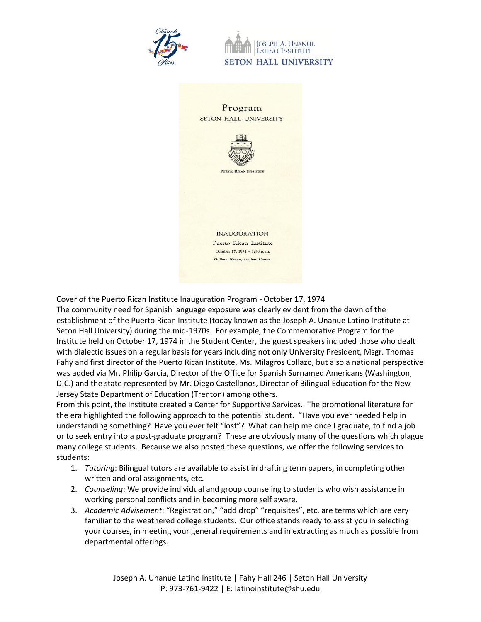

**JOSEPH A. UNANUE LATINO INSTITUTE SETON HALL UNIVERSITY** 



Cover of the Puerto Rican Institute Inauguration Program - October 17, 1974

The community need for Spanish language exposure was clearly evident from the dawn of the establishment of the Puerto Rican Institute (today known as the Joseph A. Unanue Latino Institute at Seton Hall University) during the mid-1970s. For example, the Commemorative Program for the Institute held on October 17, 1974 in the Student Center, the guest speakers included those who dealt with dialectic issues on a regular basis for years including not only University President, Msgr. Thomas Fahy and first director of the Puerto Rican Institute, Ms. Milagros Collazo, but also a national perspective was added via Mr. Philip Garcia, Director of the Office for Spanish Surnamed Americans (Washington, D.C.) and the state represented by Mr. Diego Castellanos, Director of Bilingual Education for the New Jersey State Department of Education (Trenton) among others.

From this point, the Institute created a Center for Supportive Services. The promotional literature for the era highlighted the following approach to the potential student. "Have you ever needed help in understanding something? Have you ever felt "lost"? What can help me once I graduate, to find a job or to seek entry into a post-graduate program? These are obviously many of the questions which plague many college students. Because we also posted these questions, we offer the following services to students:

- 1. *Tutoring*: Bilingual tutors are available to assist in drafting term papers, in completing other written and oral assignments, etc.
- 2. *Counseling*: We provide individual and group counseling to students who wish assistance in working personal conflicts and in becoming more self aware.
- 3. *Academic Advisement*: "Registration," "add drop" "requisites", etc. are terms which are very familiar to the weathered college students. Our office stands ready to assist you in selecting your courses, in meeting your general requirements and in extracting as much as possible from departmental offerings.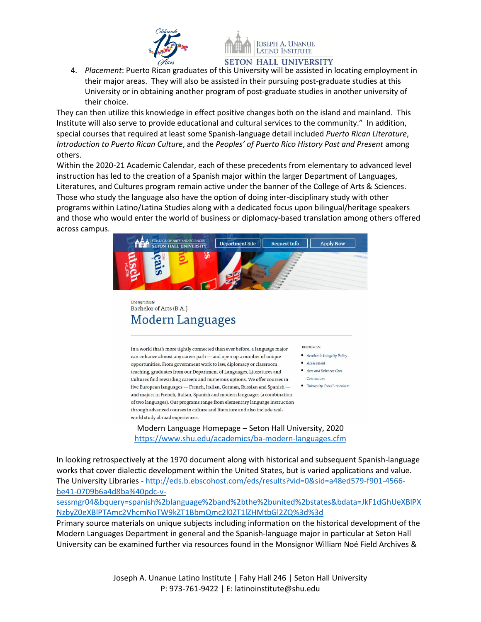



4. *Placement*: Puerto Rican graduates of this University will be assisted in locating employment in their major areas. They will also be assisted in their pursuing post-graduate studies at this University or in obtaining another program of post-graduate studies in another university of their choice.

They can then utilize this knowledge in effect positive changes both on the island and mainland. This Institute will also serve to provide educational and cultural services to the community." In addition, special courses that required at least some Spanish-language detail included *Puerto Rican Literature*, *Introduction to Puerto Rican Culture*, and the *Peoples' of Puerto Rico History Past and Present* among others.

Within the 2020-21 Academic Calendar, each of these precedents from elementary to advanced level instruction has led to the creation of a Spanish major within the larger Department of Languages, Literatures, and Cultures program remain active under the banner of the College of Arts & Sciences. Those who study the language also have the option of doing inter-disciplinary study with other programs within Latino/Latina Studies along with a dedicated focus upon bilingual/heritage speakers and those who would enter the world of business or diplomacy-based translation among others offered across campus.



## **Inderaraduate** Bachelor of Arts (B.A.) **Modern Languages**

In a world that's more tightly connected than ever before, a language major can enhance almost any career path - and open up a number of unique opportunities. From government work to law, diplomacy or classroom teaching, graduates from our Department of Languages, Literatures and Cultures find rewarding careers and numerous options. We offer courses in five European languages — French, Italian, German, Russian and Spanish and majors in French, Italian, Spanish and modern languages (a combination of two languages). Our programs range from elementary language instruction through advanced courses in culture and literature and also include realworld study abroad experiences.

**RESOURCES:** 

- Academic Integrity Policy
- Assessment
- Arts and Sciences Core
- Curriculum • University Core Curriculum

Modern Language Homepage – Seton Hall University, 2020 <https://www.shu.edu/academics/ba-modern-languages.cfm>

In looking retrospectively at the 1970 document along with historical and subsequent Spanish-language works that cover dialectic development within the United States, but is varied applications and value. The University Libraries - [http://eds.b.ebscohost.com/eds/results?vid=0&sid=a48ed579-f901-4566](http://eds.b.ebscohost.com/eds/results?vid=0&sid=a48ed579-f901-4566-be41-0709b6a4d8ba%40pdc-v-sessmgr04&bquery=spanish%2blanguage%2band%2bthe%2bunited%2bstates&bdata=JkF1dGhUeXBlPXNzbyZ0eXBlPTAmc2VhcmNoTW9kZT1BbmQmc2l0ZT1lZHMtbGl2ZQ%3d%3d) [be41-0709b6a4d8ba%40pdc-v-](http://eds.b.ebscohost.com/eds/results?vid=0&sid=a48ed579-f901-4566-be41-0709b6a4d8ba%40pdc-v-sessmgr04&bquery=spanish%2blanguage%2band%2bthe%2bunited%2bstates&bdata=JkF1dGhUeXBlPXNzbyZ0eXBlPTAmc2VhcmNoTW9kZT1BbmQmc2l0ZT1lZHMtbGl2ZQ%3d%3d)

[sessmgr04&bquery=spanish%2blanguage%2band%2bthe%2bunited%2bstates&bdata=JkF1dGhUeXBlPX](http://eds.b.ebscohost.com/eds/results?vid=0&sid=a48ed579-f901-4566-be41-0709b6a4d8ba%40pdc-v-sessmgr04&bquery=spanish%2blanguage%2band%2bthe%2bunited%2bstates&bdata=JkF1dGhUeXBlPXNzbyZ0eXBlPTAmc2VhcmNoTW9kZT1BbmQmc2l0ZT1lZHMtbGl2ZQ%3d%3d) [NzbyZ0eXBlPTAmc2VhcmNoTW9kZT1BbmQmc2l0ZT1lZHMtbGl2ZQ%3d%3d](http://eds.b.ebscohost.com/eds/results?vid=0&sid=a48ed579-f901-4566-be41-0709b6a4d8ba%40pdc-v-sessmgr04&bquery=spanish%2blanguage%2band%2bthe%2bunited%2bstates&bdata=JkF1dGhUeXBlPXNzbyZ0eXBlPTAmc2VhcmNoTW9kZT1BbmQmc2l0ZT1lZHMtbGl2ZQ%3d%3d)

Primary source materials on unique subjects including information on the historical development of the Modern Languages Department in general and the Spanish-language major in particular at Seton Hall University can be examined further via resources found in the Monsignor William Noé Field Archives &